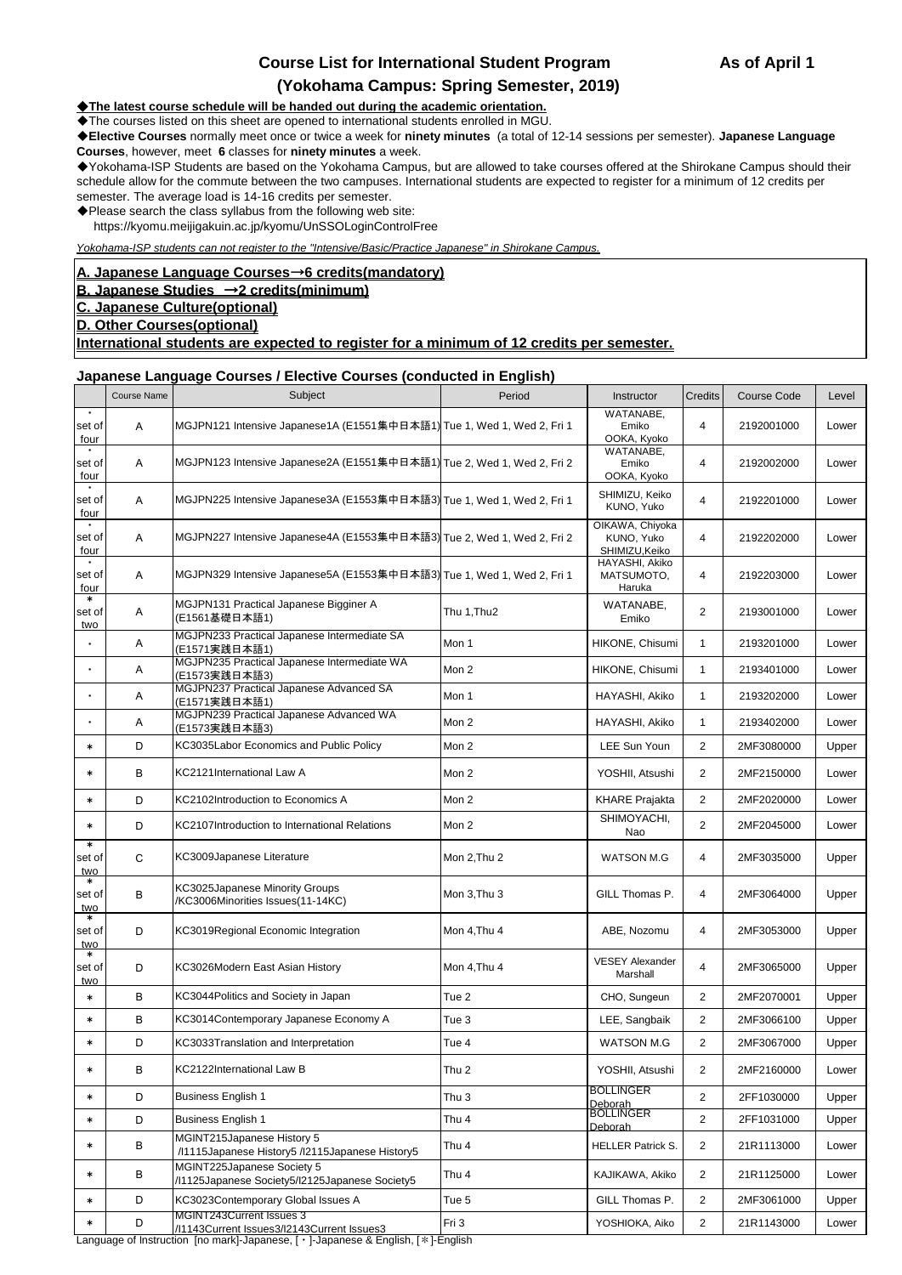# **Course List for International Student Program As of April 1**

## **(Yokohama Campus: Spring Semester, 2019)**

◆**The latest course schedule will be handed out during the academic orientation.**

◆The courses listed on this sheet are opened to international students enrolled in MGU.

◆**Elective Courses** normally meet once or twice a week for **ninety minutes** (a total of 12-14 sessions per semester). **Japanese Language Courses**, however, meet **6** classes for **ninety minutes** a week.

◆Yokohama-ISP Students are based on the Yokohama Campus, but are allowed to take courses offered at the Shirokane Campus should their schedule allow for the commute between the two campuses. International students are expected to register for a minimum of 12 credits per semester. The average load is 14-16 credits per semester.

- ◆Please search the class syllabus from the following web site:
	- https://kyomu.meijigakuin.ac.jp/kyomu/UnSSOLoginControlFree

*Yokohama-ISP students can not register to the "Intensive/Basic/Practice Japanese" in Shirokane Campus.*

#### **A. Japanese Language Courses**→**6 credits(mandatory)**

## **B. Japanese Studies** →**2 credits(minimum)**

- **C. Japanese Culture(optional)**
- **D. Other Courses(optional)**

**International students are expected to register for a minimum of 12 credits per semester.**

#### **Japanese Language Courses / Elective Courses (conducted in English)**

| WATANABE,<br>MGJPN121 Intensive Japanese1A (E1551集中日本語1) Tue 1, Wed 1, Wed 2, Fri 1<br>$\overline{4}$<br>2192001000<br>Α<br>Emiko<br>set of<br>OOKA, Kyoko<br>four<br>WATANABE,<br>MGJPN123 Intensive Japanese2A (E1551集中日本語1) Tue 2, Wed 1, Wed 2, Fri 2<br>Α<br>$\overline{4}$<br>set of<br>Emiko<br>2192002000<br>OOKA, Kyoko<br>four<br>SHIMIZU, Keiko<br>MGJPN225 Intensive Japanese3A (E1553集中日本語3) Tue 1, Wed 1, Wed 2, Fri 1<br>Α<br>$\overline{4}$<br>set of<br>2192201000<br>KUNO, Yuko<br>four<br>OIKAWA, Chiyoka<br>MGJPN227 Intensive Japanese4A (E1553集中日本語3) Tue 2, Wed 1, Wed 2, Fri 2<br>KUNO, Yuko<br>$\overline{4}$<br>set of<br>2192202000<br>A<br>SHIMIZU, Keiko<br>four<br>HAYASHI, Akiko<br>$\bullet$<br>MGJPN329 Intensive Japanese5A (E1553集中日本語3) Tue 1, Wed 1, Wed 2, Fri 1<br>$\overline{4}$<br>set of<br>A<br>MATSUMOTO,<br>2192203000<br>Haruka<br>four<br>$\ast$<br>MGJPN131 Practical Japanese Bigginer A<br>WATANABE,<br>2<br>Thu 1, Thu <sub>2</sub><br>set of<br>Α<br>2193001000<br>(E1561基礎日本語1)<br>Emiko<br>two<br>MGJPN233 Practical Japanese Intermediate SA<br>Mon 1<br>HIKONE, Chisumi<br>$\mathbf{1}$<br>2193201000<br>Α<br>$\blacksquare$<br>(E1571実践日本語1)<br>MGJPN235 Practical Japanese Intermediate WA<br>Mon 2<br>HIKONE, Chisumi<br>$\blacksquare$<br>Α<br>$\mathbf{1}$<br>2193401000<br>(E1573実践日本語3)<br>MGJPN237 Practical Japanese Advanced SA<br>Α<br>Mon 1<br>HAYASHI, Akiko<br>$\mathbf{1}$<br>2193202000<br>٠<br>(E1571実践日本語1)<br>MGJPN239 Practical Japanese Advanced WA<br>Α<br>Mon 2<br>HAYASHI, Akiko<br>$\mathbf{1}$<br>2193402000<br>(E1573実践日本語3)<br>KC3035Labor Economics and Public Policy<br>D<br>$\overline{2}$<br>Mon 2<br>LEE Sun Youn<br>$\ast$<br>2MF3080000<br>B<br>KC2121International Law A<br>Mon 2<br>2<br>YOSHII, Atsushi<br>2MF2150000<br>*<br>Mon 2<br>D<br><b>KHARE Prajakta</b><br>2<br>2MF2020000<br>KC2102Introduction to Economics A<br>$\ast$<br>SHIMOYACHI,<br>$\overline{2}$<br>D<br>KC2107Introduction to International Relations<br>2MF2045000<br>Mon 2<br>*<br>Nao<br>$\ast$<br>C<br>KC3009Japanese Literature<br>set of<br>Mon 2, Thu 2<br>WATSON M.G<br>4<br>2MF3035000<br>two<br>*<br>KC3025Japanese Minority Groups<br>В<br>$\overline{4}$<br>set of<br>Mon 3, Thu 3<br>GILL Thomas P.<br>2MF3064000<br>/KC3006Minorities Issues(11-14KC)<br>two<br>*<br>D<br>$\overline{4}$<br>set of<br>KC3019Regional Economic Integration<br>Mon 4, Thu 4<br>ABE, Nozomu<br>2MF3053000 | Lower<br>Lower<br>Lower<br>Lower<br>Lower<br>Lower |
|-------------------------------------------------------------------------------------------------------------------------------------------------------------------------------------------------------------------------------------------------------------------------------------------------------------------------------------------------------------------------------------------------------------------------------------------------------------------------------------------------------------------------------------------------------------------------------------------------------------------------------------------------------------------------------------------------------------------------------------------------------------------------------------------------------------------------------------------------------------------------------------------------------------------------------------------------------------------------------------------------------------------------------------------------------------------------------------------------------------------------------------------------------------------------------------------------------------------------------------------------------------------------------------------------------------------------------------------------------------------------------------------------------------------------------------------------------------------------------------------------------------------------------------------------------------------------------------------------------------------------------------------------------------------------------------------------------------------------------------------------------------------------------------------------------------------------------------------------------------------------------------------------------------------------------------------------------------------------------------------------------------------------------------------------------------------------------------------------------------------------------------------------------------------------------------------------------------------------------------------------------------------------------------------------------------------------------------------------------------------------------------------------------------------------------------------------------------------------|----------------------------------------------------|
|                                                                                                                                                                                                                                                                                                                                                                                                                                                                                                                                                                                                                                                                                                                                                                                                                                                                                                                                                                                                                                                                                                                                                                                                                                                                                                                                                                                                                                                                                                                                                                                                                                                                                                                                                                                                                                                                                                                                                                                                                                                                                                                                                                                                                                                                                                                                                                                                                                                                         |                                                    |
|                                                                                                                                                                                                                                                                                                                                                                                                                                                                                                                                                                                                                                                                                                                                                                                                                                                                                                                                                                                                                                                                                                                                                                                                                                                                                                                                                                                                                                                                                                                                                                                                                                                                                                                                                                                                                                                                                                                                                                                                                                                                                                                                                                                                                                                                                                                                                                                                                                                                         |                                                    |
|                                                                                                                                                                                                                                                                                                                                                                                                                                                                                                                                                                                                                                                                                                                                                                                                                                                                                                                                                                                                                                                                                                                                                                                                                                                                                                                                                                                                                                                                                                                                                                                                                                                                                                                                                                                                                                                                                                                                                                                                                                                                                                                                                                                                                                                                                                                                                                                                                                                                         |                                                    |
|                                                                                                                                                                                                                                                                                                                                                                                                                                                                                                                                                                                                                                                                                                                                                                                                                                                                                                                                                                                                                                                                                                                                                                                                                                                                                                                                                                                                                                                                                                                                                                                                                                                                                                                                                                                                                                                                                                                                                                                                                                                                                                                                                                                                                                                                                                                                                                                                                                                                         |                                                    |
|                                                                                                                                                                                                                                                                                                                                                                                                                                                                                                                                                                                                                                                                                                                                                                                                                                                                                                                                                                                                                                                                                                                                                                                                                                                                                                                                                                                                                                                                                                                                                                                                                                                                                                                                                                                                                                                                                                                                                                                                                                                                                                                                                                                                                                                                                                                                                                                                                                                                         |                                                    |
|                                                                                                                                                                                                                                                                                                                                                                                                                                                                                                                                                                                                                                                                                                                                                                                                                                                                                                                                                                                                                                                                                                                                                                                                                                                                                                                                                                                                                                                                                                                                                                                                                                                                                                                                                                                                                                                                                                                                                                                                                                                                                                                                                                                                                                                                                                                                                                                                                                                                         |                                                    |
|                                                                                                                                                                                                                                                                                                                                                                                                                                                                                                                                                                                                                                                                                                                                                                                                                                                                                                                                                                                                                                                                                                                                                                                                                                                                                                                                                                                                                                                                                                                                                                                                                                                                                                                                                                                                                                                                                                                                                                                                                                                                                                                                                                                                                                                                                                                                                                                                                                                                         | Lower                                              |
|                                                                                                                                                                                                                                                                                                                                                                                                                                                                                                                                                                                                                                                                                                                                                                                                                                                                                                                                                                                                                                                                                                                                                                                                                                                                                                                                                                                                                                                                                                                                                                                                                                                                                                                                                                                                                                                                                                                                                                                                                                                                                                                                                                                                                                                                                                                                                                                                                                                                         | Lower                                              |
|                                                                                                                                                                                                                                                                                                                                                                                                                                                                                                                                                                                                                                                                                                                                                                                                                                                                                                                                                                                                                                                                                                                                                                                                                                                                                                                                                                                                                                                                                                                                                                                                                                                                                                                                                                                                                                                                                                                                                                                                                                                                                                                                                                                                                                                                                                                                                                                                                                                                         | Lower                                              |
|                                                                                                                                                                                                                                                                                                                                                                                                                                                                                                                                                                                                                                                                                                                                                                                                                                                                                                                                                                                                                                                                                                                                                                                                                                                                                                                                                                                                                                                                                                                                                                                                                                                                                                                                                                                                                                                                                                                                                                                                                                                                                                                                                                                                                                                                                                                                                                                                                                                                         | Lower                                              |
|                                                                                                                                                                                                                                                                                                                                                                                                                                                                                                                                                                                                                                                                                                                                                                                                                                                                                                                                                                                                                                                                                                                                                                                                                                                                                                                                                                                                                                                                                                                                                                                                                                                                                                                                                                                                                                                                                                                                                                                                                                                                                                                                                                                                                                                                                                                                                                                                                                                                         | Upper                                              |
|                                                                                                                                                                                                                                                                                                                                                                                                                                                                                                                                                                                                                                                                                                                                                                                                                                                                                                                                                                                                                                                                                                                                                                                                                                                                                                                                                                                                                                                                                                                                                                                                                                                                                                                                                                                                                                                                                                                                                                                                                                                                                                                                                                                                                                                                                                                                                                                                                                                                         | Lower                                              |
|                                                                                                                                                                                                                                                                                                                                                                                                                                                                                                                                                                                                                                                                                                                                                                                                                                                                                                                                                                                                                                                                                                                                                                                                                                                                                                                                                                                                                                                                                                                                                                                                                                                                                                                                                                                                                                                                                                                                                                                                                                                                                                                                                                                                                                                                                                                                                                                                                                                                         | Lower                                              |
|                                                                                                                                                                                                                                                                                                                                                                                                                                                                                                                                                                                                                                                                                                                                                                                                                                                                                                                                                                                                                                                                                                                                                                                                                                                                                                                                                                                                                                                                                                                                                                                                                                                                                                                                                                                                                                                                                                                                                                                                                                                                                                                                                                                                                                                                                                                                                                                                                                                                         | Lower                                              |
|                                                                                                                                                                                                                                                                                                                                                                                                                                                                                                                                                                                                                                                                                                                                                                                                                                                                                                                                                                                                                                                                                                                                                                                                                                                                                                                                                                                                                                                                                                                                                                                                                                                                                                                                                                                                                                                                                                                                                                                                                                                                                                                                                                                                                                                                                                                                                                                                                                                                         | Upper                                              |
|                                                                                                                                                                                                                                                                                                                                                                                                                                                                                                                                                                                                                                                                                                                                                                                                                                                                                                                                                                                                                                                                                                                                                                                                                                                                                                                                                                                                                                                                                                                                                                                                                                                                                                                                                                                                                                                                                                                                                                                                                                                                                                                                                                                                                                                                                                                                                                                                                                                                         | Upper                                              |
| two                                                                                                                                                                                                                                                                                                                                                                                                                                                                                                                                                                                                                                                                                                                                                                                                                                                                                                                                                                                                                                                                                                                                                                                                                                                                                                                                                                                                                                                                                                                                                                                                                                                                                                                                                                                                                                                                                                                                                                                                                                                                                                                                                                                                                                                                                                                                                                                                                                                                     | Upper                                              |
| *<br><b>VESEY Alexander</b><br>$\overline{4}$<br>set of<br>D<br>KC3026Modern East Asian History<br>Mon 4, Thu 4<br>2MF3065000<br>Marshall<br>two                                                                                                                                                                                                                                                                                                                                                                                                                                                                                                                                                                                                                                                                                                                                                                                                                                                                                                                                                                                                                                                                                                                                                                                                                                                                                                                                                                                                                                                                                                                                                                                                                                                                                                                                                                                                                                                                                                                                                                                                                                                                                                                                                                                                                                                                                                                        | Upper                                              |
| KC3044Politics and Society in Japan<br>В<br>Tue 2<br>CHO, Sungeun<br>2<br>2MF2070001<br>$\ast$                                                                                                                                                                                                                                                                                                                                                                                                                                                                                                                                                                                                                                                                                                                                                                                                                                                                                                                                                                                                                                                                                                                                                                                                                                                                                                                                                                                                                                                                                                                                                                                                                                                                                                                                                                                                                                                                                                                                                                                                                                                                                                                                                                                                                                                                                                                                                                          | Upper                                              |
| KC3014Contemporary Japanese Economy A<br>B<br>Tue 3<br>LEE, Sangbaik<br>2<br>2MF3066100<br>$\ast$                                                                                                                                                                                                                                                                                                                                                                                                                                                                                                                                                                                                                                                                                                                                                                                                                                                                                                                                                                                                                                                                                                                                                                                                                                                                                                                                                                                                                                                                                                                                                                                                                                                                                                                                                                                                                                                                                                                                                                                                                                                                                                                                                                                                                                                                                                                                                                       | Upper                                              |
| KC3033Translation and Interpretation<br>$\mathbf{2}$<br>D<br><b>WATSON M.G</b><br>2MF3067000<br>$\ast$<br>Tue 4                                                                                                                                                                                                                                                                                                                                                                                                                                                                                                                                                                                                                                                                                                                                                                                                                                                                                                                                                                                                                                                                                                                                                                                                                                                                                                                                                                                                                                                                                                                                                                                                                                                                                                                                                                                                                                                                                                                                                                                                                                                                                                                                                                                                                                                                                                                                                         | Upper                                              |
| В<br>KC2122International Law B<br>YOSHII, Atsushi<br>$\ast$<br>Thu 2<br>2<br>2MF2160000                                                                                                                                                                                                                                                                                                                                                                                                                                                                                                                                                                                                                                                                                                                                                                                                                                                                                                                                                                                                                                                                                                                                                                                                                                                                                                                                                                                                                                                                                                                                                                                                                                                                                                                                                                                                                                                                                                                                                                                                                                                                                                                                                                                                                                                                                                                                                                                 | Lower                                              |
| BOLLINGER<br>$\overline{2}$<br><b>Business English 1</b><br>D<br>Thu 3<br>2FF1030000<br>$\ast$<br>Deborah                                                                                                                                                                                                                                                                                                                                                                                                                                                                                                                                                                                                                                                                                                                                                                                                                                                                                                                                                                                                                                                                                                                                                                                                                                                                                                                                                                                                                                                                                                                                                                                                                                                                                                                                                                                                                                                                                                                                                                                                                                                                                                                                                                                                                                                                                                                                                               | Upper                                              |
| <b>BOLLINGER</b><br>$\overline{2}$<br>D<br><b>Business English 1</b><br>Thu 4<br>2FF1031000<br>$\ast$<br>Deborah                                                                                                                                                                                                                                                                                                                                                                                                                                                                                                                                                                                                                                                                                                                                                                                                                                                                                                                                                                                                                                                                                                                                                                                                                                                                                                                                                                                                                                                                                                                                                                                                                                                                                                                                                                                                                                                                                                                                                                                                                                                                                                                                                                                                                                                                                                                                                        | Upper                                              |
| MGINT215Japanese History 5<br>В<br>Thu <sub>4</sub><br>$\overline{2}$<br>21R1113000<br><b>HELLER Patrick S.</b><br>$\ast$<br>/I1115Japanese History5 /I2115Japanese History5                                                                                                                                                                                                                                                                                                                                                                                                                                                                                                                                                                                                                                                                                                                                                                                                                                                                                                                                                                                                                                                                                                                                                                                                                                                                                                                                                                                                                                                                                                                                                                                                                                                                                                                                                                                                                                                                                                                                                                                                                                                                                                                                                                                                                                                                                            | Lower                                              |
| MGINT225Japanese Society 5<br>В<br>Thu 4<br>$\overline{2}$<br>KAJIKAWA, Akiko<br>21R1125000<br>$\ast$<br>/l1125Japanese Society5/l2125Japanese Society5                                                                                                                                                                                                                                                                                                                                                                                                                                                                                                                                                                                                                                                                                                                                                                                                                                                                                                                                                                                                                                                                                                                                                                                                                                                                                                                                                                                                                                                                                                                                                                                                                                                                                                                                                                                                                                                                                                                                                                                                                                                                                                                                                                                                                                                                                                                 | Lower                                              |
| D<br>KC3023Contemporary Global Issues A<br>Tue 5<br>$\overline{2}$<br>GILL Thomas P.<br>2MF3061000<br>$\ast$                                                                                                                                                                                                                                                                                                                                                                                                                                                                                                                                                                                                                                                                                                                                                                                                                                                                                                                                                                                                                                                                                                                                                                                                                                                                                                                                                                                                                                                                                                                                                                                                                                                                                                                                                                                                                                                                                                                                                                                                                                                                                                                                                                                                                                                                                                                                                            | Upper                                              |
| MGINT243Current Issues 3<br>D<br>Fri 3<br>YOSHIOKA, Aiko<br>2<br>21R1143000<br>$\ast$<br>/I1143Current Issues3/I2143Current Issues3<br>Language of Instruction [no mark]-Japanese, [ · ]-Japanese & English, [ * ]-English                                                                                                                                                                                                                                                                                                                                                                                                                                                                                                                                                                                                                                                                                                                                                                                                                                                                                                                                                                                                                                                                                                                                                                                                                                                                                                                                                                                                                                                                                                                                                                                                                                                                                                                                                                                                                                                                                                                                                                                                                                                                                                                                                                                                                                              | Lower                                              |